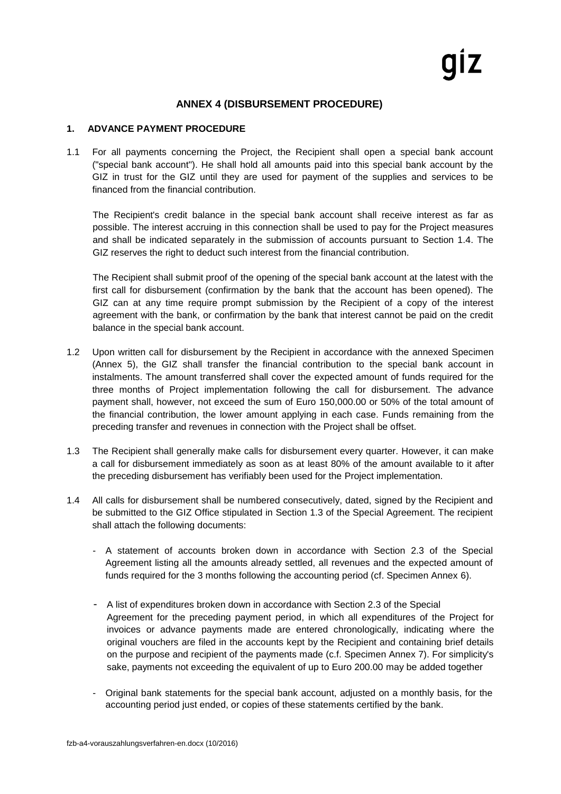## **ANNEX 4 (DISBURSEMENT PROCEDURE)**

## **1. ADVANCE PAYMENT PROCEDURE**

1.1 For all payments concerning the Project, the Recipient shall open a special bank account ("special bank account"). He shall hold all amounts paid into this special bank account by the GIZ in trust for the GIZ until they are used for payment of the supplies and services to be financed from the financial contribution.

The Recipient's credit balance in the special bank account shall receive interest as far as possible. The interest accruing in this connection shall be used to pay for the Project measures and shall be indicated separately in the submission of accounts pursuant to Section 1.4. The GIZ reserves the right to deduct such interest from the financial contribution.

The Recipient shall submit proof of the opening of the special bank account at the latest with the first call for disbursement (confirmation by the bank that the account has been opened). The GIZ can at any time require prompt submission by the Recipient of a copy of the interest agreement with the bank, or confirmation by the bank that interest cannot be paid on the credit balance in the special bank account.

- 1.2 Upon written call for disbursement by the Recipient in accordance with the annexed Specimen (Annex 5), the GIZ shall transfer the financial contribution to the special bank account in instalments. The amount transferred shall cover the expected amount of funds required for the three months of Project implementation following the call for disbursement. The advance payment shall, however, not exceed the sum of Euro 150,000.00 or 50% of the total amount of the financial contribution, the lower amount applying in each case. Funds remaining from the preceding transfer and revenues in connection with the Project shall be offset.
- 1.3 The Recipient shall generally make calls for disbursement every quarter. However, it can make a call for disbursement immediately as soon as at least 80% of the amount available to it after the preceding disbursement has verifiably been used for the Project implementation.
- 1.4 All calls for disbursement shall be numbered consecutively, dated, signed by the Recipient and be submitted to the GIZ Office stipulated in Section 1.3 of the Special Agreement. The recipient shall attach the following documents:
	- A statement of accounts broken down in accordance with Section 2.3 of the Special Agreement listing all the amounts already settled, all revenues and the expected amount of funds required for the 3 months following the accounting period (cf. Specimen Annex 6).
	- A list of expenditures broken down in accordance with Section 2.3 of the Special Agreement for the preceding payment period, in which all expenditures of the Project for invoices or advance payments made are entered chronologically, indicating where the original vouchers are filed in the accounts kept by the Recipient and containing brief details on the purpose and recipient of the payments made (c.f. Specimen Annex 7). For simplicity's sake, payments not exceeding the equivalent of up to Euro 200.00 may be added together
	- Original bank statements for the special bank account, adjusted on a monthly basis, for the accounting period just ended, or copies of these statements certified by the bank.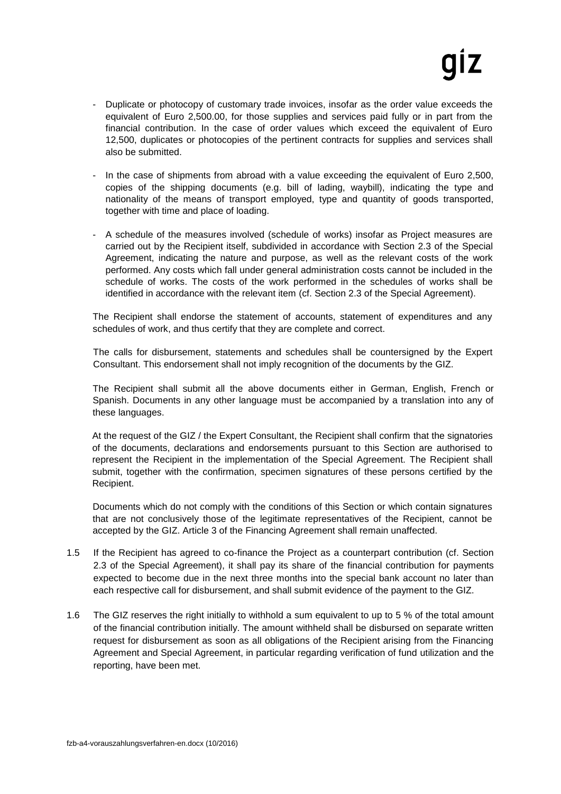- Duplicate or photocopy of customary trade invoices, insofar as the order value exceeds the equivalent of Euro 2,500.00, for those supplies and services paid fully or in part from the financial contribution. In the case of order values which exceed the equivalent of Euro 12,500, duplicates or photocopies of the pertinent contracts for supplies and services shall also be submitted.
- In the case of shipments from abroad with a value exceeding the equivalent of Euro 2,500, copies of the shipping documents (e.g. bill of lading, waybill), indicating the type and nationality of the means of transport employed, type and quantity of goods transported, together with time and place of loading.
- A schedule of the measures involved (schedule of works) insofar as Project measures are carried out by the Recipient itself, subdivided in accordance with Section 2.3 of the Special Agreement, indicating the nature and purpose, as well as the relevant costs of the work performed. Any costs which fall under general administration costs cannot be included in the schedule of works. The costs of the work performed in the schedules of works shall be identified in accordance with the relevant item (cf. Section 2.3 of the Special Agreement).

The Recipient shall endorse the statement of accounts, statement of expenditures and any schedules of work, and thus certify that they are complete and correct.

The calls for disbursement, statements and schedules shall be countersigned by the Expert Consultant. This endorsement shall not imply recognition of the documents by the GIZ.

The Recipient shall submit all the above documents either in German, English, French or Spanish. Documents in any other language must be accompanied by a translation into any of these languages.

At the request of the GIZ / the Expert Consultant, the Recipient shall confirm that the signatories of the documents, declarations and endorsements pursuant to this Section are authorised to represent the Recipient in the implementation of the Special Agreement. The Recipient shall submit, together with the confirmation, specimen signatures of these persons certified by the Recipient.

Documents which do not comply with the conditions of this Section or which contain signatures that are not conclusively those of the legitimate representatives of the Recipient, cannot be accepted by the GIZ. Article 3 of the Financing Agreement shall remain unaffected.

- 1.5 If the Recipient has agreed to co-finance the Project as a counterpart contribution (cf. Section 2.3 of the Special Agreement), it shall pay its share of the financial contribution for payments expected to become due in the next three months into the special bank account no later than each respective call for disbursement, and shall submit evidence of the payment to the GIZ.
- 1.6 The GIZ reserves the right initially to withhold a sum equivalent to up to 5 % of the total amount of the financial contribution initially. The amount withheld shall be disbursed on separate written request for disbursement as soon as all obligations of the Recipient arising from the Financing Agreement and Special Agreement, in particular regarding verification of fund utilization and the reporting, have been met.